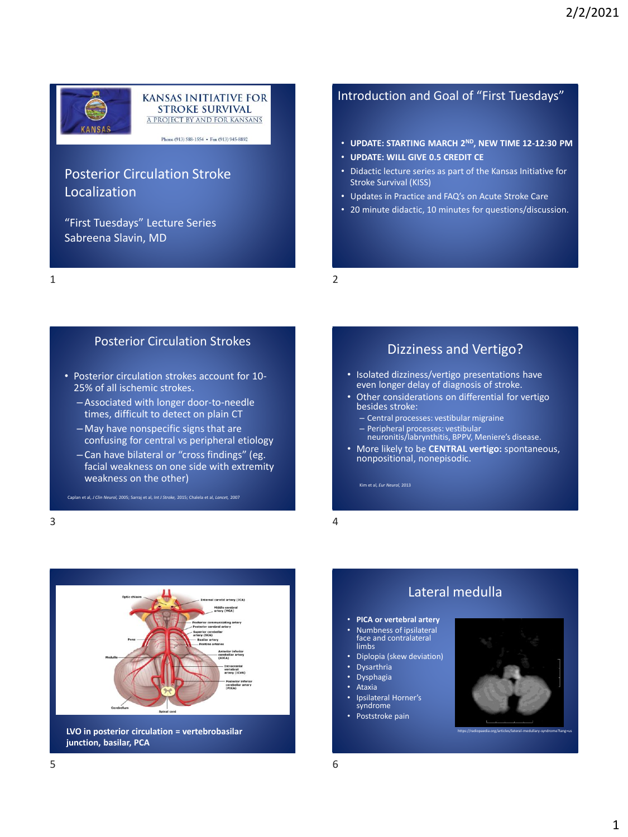

## KANSAS INITIATIVE FOR<br>STROKE SURVIVAL A PROJECT BY AND FOR KANSANS

Phone (913)  $588-1554$  • Fax (913) 945-8892

## Posterior Circulation Stroke Localization

"First Tuesdays" Lecture Series Sabreena Slavin, MD

### Introduction and Goal of "First Tuesdays"

- **UPDATE: STARTING MARCH 2ND, NEW TIME 12-12:30 PM**
- **UPDATE: WILL GIVE 0.5 CREDIT CE**
- Didactic lecture series as part of the Kansas Initiative for Stroke Survival (KISS)
- Updates in Practice and FAQ's on Acute Stroke Care
- 20 minute didactic, 10 minutes for questions/discussion.

1 2

#### Posterior Circulation Strokes

- Posterior circulation strokes account for 10- 25% of all ischemic strokes.
	- Associated with longer door-to-needle times, difficult to detect on plain CT
	- May have nonspecific signs that are confusing for central vs peripheral etiology
	- Can have bilateral or "cross findings" (eg. facial weakness on one side with extremity weakness on the other)

Caplan et al, *J Clin Neurol,* 2005; Sarraj et al, *Int J Stroke,* 2015; Chalela et al, *Lancet,* 2007

#### Dizziness and Vertigo?

- Isolated dizziness/vertigo presentations have even longer delay of diagnosis of stroke.
- Other considerations on differential for vertigo besides stroke:
	- Central processes: vestibular migraine
	- Peripheral processes: vestibular neuronitis/labrynthitis, BPPV, Meniere's disease.
- More likely to be **CENTRAL vertigo:** spontaneous, nonpositional, nonepisodic.

 $3 \overline{4}$ 



Lateral medulla

- **PICA or vertebral artery**
- Numbness of ipsilateral face and contralateral limbs
- Diplopia (skew deviation)
- **Dysarthria**
- Dysphagia
- Ataxia
	- Ipsilateral Horner's syndrome
- Poststroke pain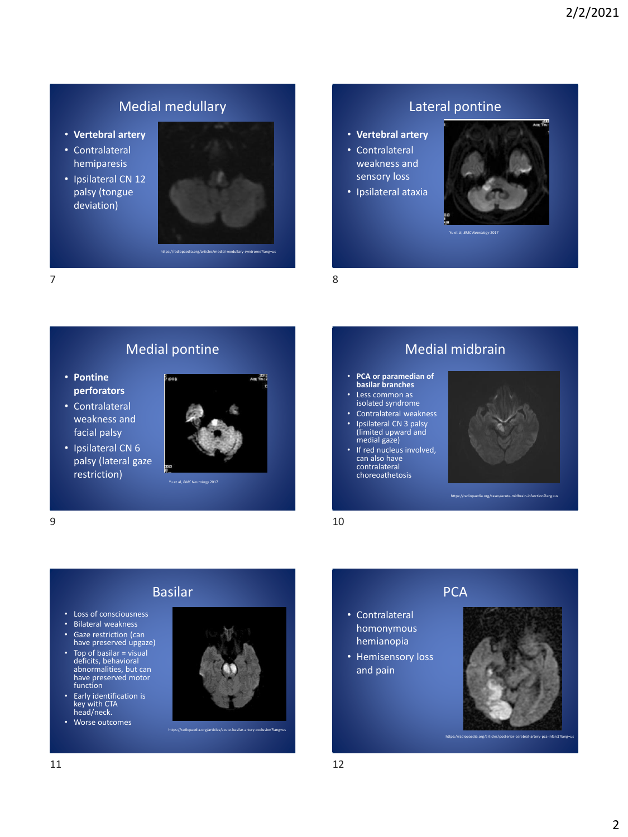## Medial medullary

- **Vertebral artery**
- Contralateral hemiparesis
- Ipsilateral CN 12 palsy (tongue deviation)



## Lateral pontine

- **Vertebral artery** • Contralateral weakness and sensory loss
- Ipsilateral ataxia

• **PCA or paramedian of basilar branches** Less common as isolated syndrome Contralateral weakness • Ipsilateral CN 3 palsy (limited upward and medial gaze)

• If red nucleus involved, can also have contralateral choreoathetosis



Yu et al, *BMC Neurology* 2017

Medial midbrain

 $7$  8

## Medial pontine

- **Pontine perforators**
- Contralateral weakness and facial palsy



Yu et al, *BMC Neurology* 2017

 $9$  10



https://radiopaedia.org/cases/acute-midbrain-infarction?lang=us



# Basilar

- Loss of consciousness
- Bilateral weakness
- Gaze restriction (can have preserved upgaze)
- Top of basilar = visual deficits, behavioral abnormalities, but can have preserved motor function
- Early identification is key with CTA head/neck.
- Worse outcomes



https://radiopaedia.org/articles/acute-basilar-artery-occlusion?lang=us

# **PCA**

- Contralateral homonymous hemianopia
- Hemisensory loss and pain



https://radiopaedia.org/articles/posterior-cerebral-artery-pca-infarct?lang=us